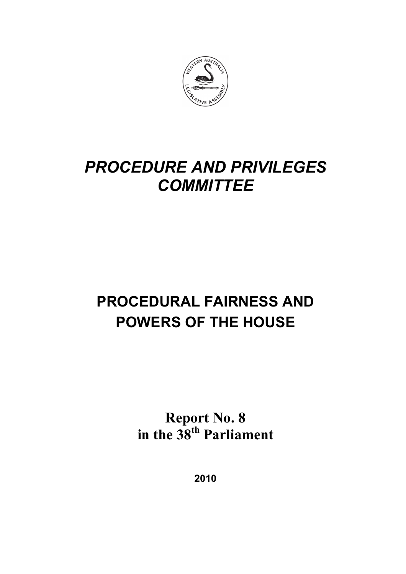

# *PROCEDURE AND PRIVILEGES COMMITTEE*

# **PROCEDURAL FAIRNESS AND POWERS OF THE HOUSE**

**Report No. 8 in the 38th Parliament** 

**2010**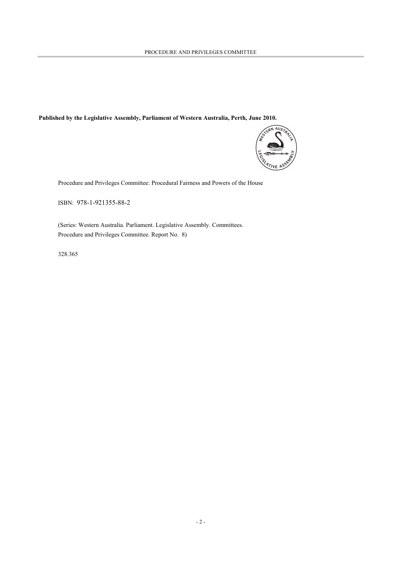#### **Published by the Legislative Assembly, Parliament of Western Australia, Perth, June 2010.**



Procedure and Privileges Committee: Procedural Fairness and Powers of the House

ISBN: 978-1-921355-88-2

(Series: Western Australia. Parliament. Legislative Assembly. Committees. Procedure and Privileges Committee. Report No. 8)

328.365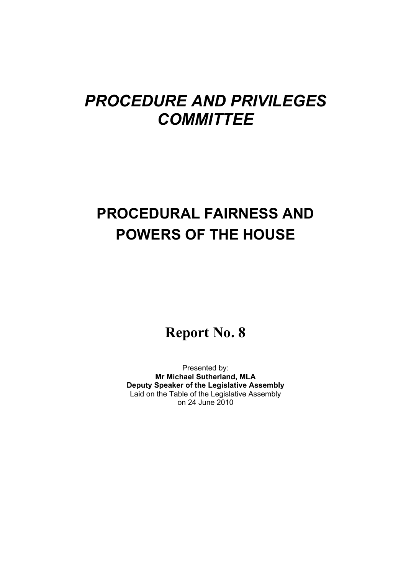# *PROCEDURE AND PRIVILEGES COMMITTEE*

# **PROCEDURAL FAIRNESS AND POWERS OF THE HOUSE**

## **Report No. 8**

Presented by: **Mr Michael Sutherland, MLA Deputy Speaker of the Legislative Assembly**  Laid on the Table of the Legislative Assembly on 24 June 2010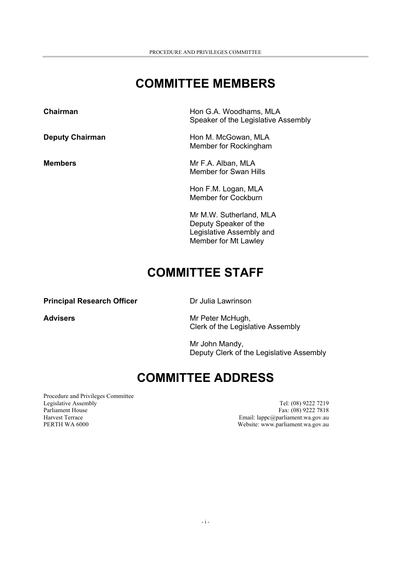## **COMMITTEE MEMBERS**

**Chairman Chairman Hon G.A. Woodhams, MLA** Speaker of the Legislative Assembly

**Deputy Chairman Example 20 Following MEA** Hon M. McGowan, MLA Member for Rockingham

**Members** Mr F.A. Alban, MLA Member for Swan Hills

> Hon F.M. Logan, MLA Member for Cockburn

Mr M.W. Sutherland, MLA Deputy Speaker of the Legislative Assembly and Member for Mt Lawley

## **COMMITTEE STAFF**

**Principal Research Officer Dr Julia Lawrinson** 

Advisers **Advisers Mr Peter McHugh,** Clerk of the Legislative Assembly

> Mr John Mandy, Deputy Clerk of the Legislative Assembly

## **COMMITTEE ADDRESS**

Procedure and Privileges Committee Legislative Assembly<br>
Parliament House<br>
Parliament House<br>
Tel: (08) 9222 7219<br>
Tel: (08) 9222 7318 Parliament House Fax: (08) 9222 7818<br>
Harvest Terrace Fax: (08) 9222 7818<br>
Harvest Terrace Fax: (08) 9222 7818 PERTH WA 6000 Website: www.parliament.wa.gov.au

Email: lappc@parliament.wa.gov.au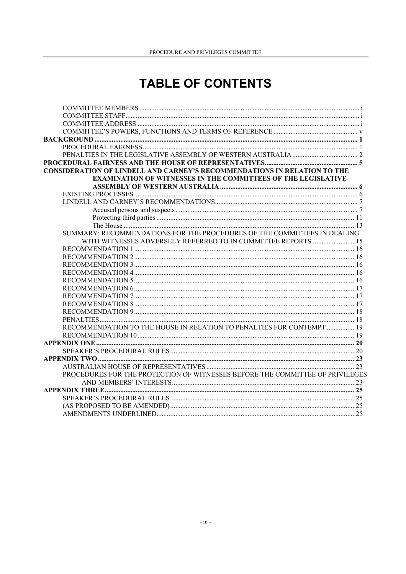## **TABLE OF CONTENTS**

| CONSIDERATION OF LINDELL AND CARNEY'S RECOMMENDATIONS IN RELATION TO THE      |  |
|-------------------------------------------------------------------------------|--|
| <b>EXAMINATION OF WITNESSES IN THE COMMITTEES OF THE LEGISLATIVE</b>          |  |
|                                                                               |  |
|                                                                               |  |
|                                                                               |  |
|                                                                               |  |
|                                                                               |  |
|                                                                               |  |
| SUMMARY: RECOMMENDATIONS FOR THE PROCEDURES OF THE COMMITTEES IN DEALING      |  |
| WITH WITNESSES ADVERSELY REFERRED TO IN COMMITTEE REPORTS 15                  |  |
|                                                                               |  |
|                                                                               |  |
|                                                                               |  |
|                                                                               |  |
|                                                                               |  |
|                                                                               |  |
|                                                                               |  |
|                                                                               |  |
|                                                                               |  |
|                                                                               |  |
| RECOMMENDATION TO THE HOUSE IN RELATION TO PENALTIES FOR CONTEMPT  19         |  |
|                                                                               |  |
|                                                                               |  |
|                                                                               |  |
|                                                                               |  |
| PROCEDURES FOR THE PROTECTION OF WITNESSES BEFORE THE COMMITTEE OF PRIVILEGES |  |
|                                                                               |  |
|                                                                               |  |
|                                                                               |  |
|                                                                               |  |
|                                                                               |  |
|                                                                               |  |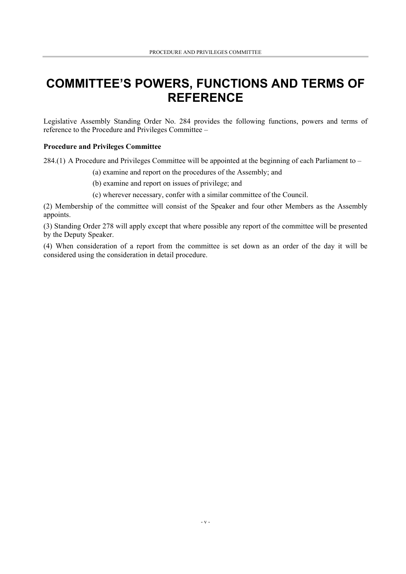## **COMMITTEE'S POWERS, FUNCTIONS AND TERMS OF REFERENCE**

Legislative Assembly Standing Order No. 284 provides the following functions, powers and terms of reference to the Procedure and Privileges Committee –

#### **Procedure and Privileges Committee**

284.(1) A Procedure and Privileges Committee will be appointed at the beginning of each Parliament to –

- (a) examine and report on the procedures of the Assembly; and
- (b) examine and report on issues of privilege; and
- (c) wherever necessary, confer with a similar committee of the Council.

(2) Membership of the committee will consist of the Speaker and four other Members as the Assembly appoints.

(3) Standing Order 278 will apply except that where possible any report of the committee will be presented by the Deputy Speaker.

(4) When consideration of a report from the committee is set down as an order of the day it will be considered using the consideration in detail procedure.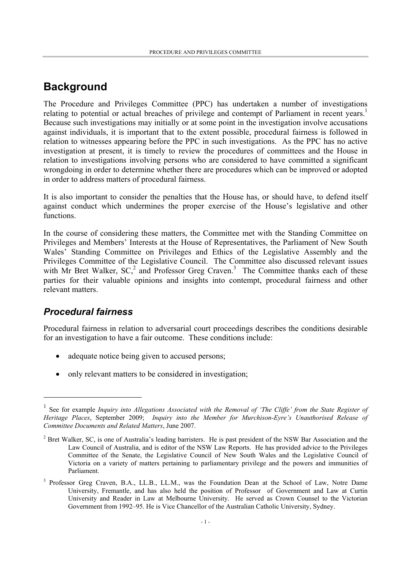### **Background**

The Procedure and Privileges Committee (PPC) has undertaken a number of investigations relating to potential or actual breaches of privilege and contempt of Parliament in recent years.<sup>1</sup> Because such investigations may initially or at some point in the investigation involve accusations against individuals, it is important that to the extent possible, procedural fairness is followed in relation to witnesses appearing before the PPC in such investigations. As the PPC has no active investigation at present, it is timely to review the procedures of committees and the House in relation to investigations involving persons who are considered to have committed a significant wrongdoing in order to determine whether there are procedures which can be improved or adopted in order to address matters of procedural fairness.

It is also important to consider the penalties that the House has, or should have, to defend itself against conduct which undermines the proper exercise of the House's legislative and other functions.

In the course of considering these matters, the Committee met with the Standing Committee on Privileges and Members' Interests at the House of Representatives, the Parliament of New South Wales' Standing Committee on Privileges and Ethics of the Legislative Assembly and the Privileges Committee of the Legislative Council. The Committee also discussed relevant issues with Mr Bret Walker,  $SC<sub>1</sub><sup>2</sup>$  and Professor Greg Craven.<sup>3</sup> The Committee thanks each of these parties for their valuable opinions and insights into contempt, procedural fairness and other relevant matters.

#### *Procedural fairness*

 $\overline{a}$ 

Procedural fairness in relation to adversarial court proceedings describes the conditions desirable for an investigation to have a fair outcome. These conditions include:

- adequate notice being given to accused persons;
- only relevant matters to be considered in investigation;

<sup>1</sup> See for example *Inquiry into Allegations Associated with the Removal of 'The Cliffe' from the State Register of Heritage Places*, September 2009; *Inquiry into the Member for Murchison-Eyre's Unauthorised Release of Committee Documents and Related Matters*, June 2007.

 $2^2$  Bret Walker, SC, is one of Australia's leading barristers. He is past president of the NSW Bar Association and the Law Council of Australia, and is editor of the NSW Law Reports. He has provided advice to the Privileges Committee of the Senate, the Legislative Council of New South Wales and the Legislative Council of Victoria on a variety of matters pertaining to parliamentary privilege and the powers and immunities of Parliament.

<sup>&</sup>lt;sup>3</sup> Professor Greg Craven, B.A., LL.B., LL.M., was the Foundation Dean at the School of Law, Notre Dame University, Fremantle, and has also held the position of Professor of Government and Law at Curtin University and Reader in Law at Melbourne University. He served as Crown Counsel to the Victorian Government from 1992–95. He is Vice Chancellor of the Australian Catholic University, Sydney.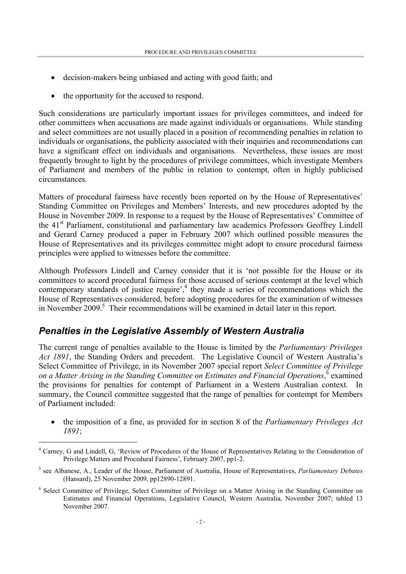- decision-makers being unbiased and acting with good faith; and
- the opportunity for the accused to respond.

Such considerations are particularly important issues for privileges committees, and indeed for other committees when accusations are made against individuals or organisations. While standing and select committees are not usually placed in a position of recommending penalties in relation to individuals or organisations, the publicity associated with their inquiries and recommendations can have a significant effect on individuals and organisations. Nevertheless, these issues are most frequently brought to light by the procedures of privilege committees, which investigate Members of Parliament and members of the public in relation to contempt, often in highly publicised circumstances.

Matters of procedural fairness have recently been reported on by the House of Representatives' Standing Committee on Privileges and Members' Interests, and new procedures adopted by the House in November 2009. In response to a request by the House of Representatives' Committee of the 41<sup>st</sup> Parliament, constitutional and parliamentary law academics Professors Geoffrey Lindell and Gerard Carney produced a paper in February 2007 which outlined possible measures the House of Representatives and its privileges committee might adopt to ensure procedural fairness principles were applied to witnesses before the committee.

Although Professors Lindell and Carney consider that it is 'not possible for the House or its committees to accord procedural fairness for those accused of serious contempt at the level which contemporary standards of justice require', $4$  they made a series of recommendations which the House of Representatives considered, before adopting procedures for the examination of witnesses in November 2009.<sup>5</sup> Their recommendations will be examined in detail later in this report.

#### *Penalties in the Legislative Assembly of Western Australia*

l

The current range of penalties available to the House is limited by the *Parliamentary Privileges Act 1891*, the Standing Orders and precedent. The Legislative Council of Western Australia's Select Committee of Privilege, in its November 2007 special report *Select Committee of Privilege*  on a Matter Arising in the Standing Committee on Estimates and Financial Operations, <sup>6</sup> examined the provisions for penalties for contempt of Parliament in a Western Australian context. In summary, the Council committee suggested that the range of penalties for contempt for Members of Parliament included:

• the imposition of a fine, as provided for in section 8 of the *Parliamentary Privileges Act 1891*;

<sup>&</sup>lt;sup>4</sup> Carney, G and Lindell, G, 'Review of Procedures of the House of Representatives Relating to the Consideration of Privilege Matters and Procedural Fairness', February 2007, pp1-2.

<sup>5</sup> see Albanese, A., Leader of the House, Parliament of Australia, House of Representatives, *Parliamentary Debates* (Hansard), 25 November 2009, pp12890-12891.

<sup>&</sup>lt;sup>6</sup> Select Committee of Privilege, Select Committee of Privilege on a Matter Arising in the Standing Committee on Estimates and Financial Operations, Legislative Council, Western Australia, November 2007; tabled 13 November 2007.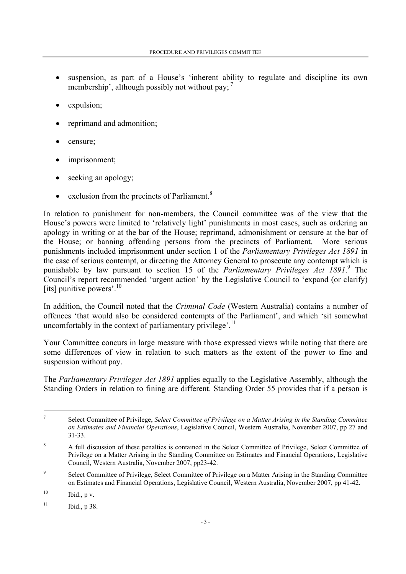- suspension, as part of a House's 'inherent ability to regulate and discipline its own membership', although possibly not without pay:  $<sup>7</sup>$ </sup>
- expulsion;
- reprimand and admonition;
- censure;
- imprisonment;
- seeking an apology;
- exclusion from the precincts of Parliament. $8$

In relation to punishment for non-members, the Council committee was of the view that the House's powers were limited to 'relatively light' punishments in most cases, such as ordering an apology in writing or at the bar of the House; reprimand, admonishment or censure at the bar of the House; or banning offending persons from the precincts of Parliament. More serious punishments included imprisonment under section 1 of the *Parliamentary Privileges Act 1891* in the case of serious contempt, or directing the Attorney General to prosecute any contempt which is punishable by law pursuant to section 15 of the *Parliamentary Privileges Act 1891*.<sup>9</sup> The Council's report recommended 'urgent action' by the Legislative Council to 'expand (or clarify) [its] punitive powers'.<sup>10</sup>

In addition, the Council noted that the *Criminal Code* (Western Australia) contains a number of offences 'that would also be considered contempts of the Parliament', and which 'sit somewhat uncomfortably in the context of parliamentary privilege'.<sup>11</sup>

Your Committee concurs in large measure with those expressed views while noting that there are some differences of view in relation to such matters as the extent of the power to fine and suspension without pay.

The *Parliamentary Privileges Act 1891* applies equally to the Legislative Assembly, although the Standing Orders in relation to fining are different. Standing Order 55 provides that if a person is

 $\overline{a}$ 

<sup>7</sup> Select Committee of Privilege, *Select Committee of Privilege on a Matter Arising in the Standing Committee on Estimates and Financial Operations*, Legislative Council, Western Australia, November 2007, pp 27 and 31-33.

<sup>8</sup> A full discussion of these penalties is contained in the Select Committee of Privilege, Select Committee of Privilege on a Matter Arising in the Standing Committee on Estimates and Financial Operations, Legislative Council, Western Australia, November 2007, pp23-42.

<sup>9</sup> Select Committee of Privilege, Select Committee of Privilege on a Matter Arising in the Standing Committee on Estimates and Financial Operations, Legislative Council, Western Australia, November 2007, pp 41-42.

 $10$  Ibid., p v.

 $11$  Ibid., p 38.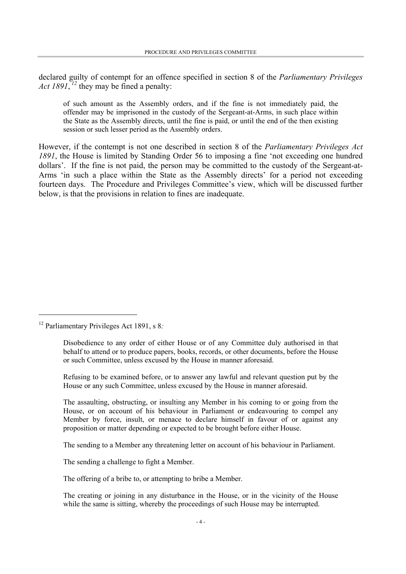declared guilty of contempt for an offence specified in section 8 of the *Parliamentary Privileges*  Act 1891,<sup>12</sup> they may be fined a penalty:

of such amount as the Assembly orders, and if the fine is not immediately paid, the offender may be imprisoned in the custody of the Sergeant-at-Arms, in such place within the State as the Assembly directs, until the fine is paid, or until the end of the then existing session or such lesser period as the Assembly orders.

However, if the contempt is not one described in section 8 of the *Parliamentary Privileges Act 1891*, the House is limited by Standing Order 56 to imposing a fine 'not exceeding one hundred dollars'. If the fine is not paid, the person may be committed to the custody of the Sergeant-at-Arms 'in such a place within the State as the Assembly directs' for a period not exceeding fourteen days. The Procedure and Privileges Committee's view, which will be discussed further below, is that the provisions in relation to fines are inadequate.

<sup>12</sup> Parliamentary Privileges Act 1891, s 8*:* 

 $\overline{a}$ 

Disobedience to any order of either House or of any Committee duly authorised in that behalf to attend or to produce papers, books, records, or other documents, before the House or such Committee, unless excused by the House in manner aforesaid.

Refusing to be examined before, or to answer any lawful and relevant question put by the House or any such Committee, unless excused by the House in manner aforesaid.

The assaulting, obstructing, or insulting any Member in his coming to or going from the House, or on account of his behaviour in Parliament or endeavouring to compel any Member by force, insult, or menace to declare himself in favour of or against any proposition or matter depending or expected to be brought before either House.

The sending to a Member any threatening letter on account of his behaviour in Parliament.

The sending a challenge to fight a Member.

The offering of a bribe to, or attempting to bribe a Member.

The creating or joining in any disturbance in the House, or in the vicinity of the House while the same is sitting, whereby the proceedings of such House may be interrupted.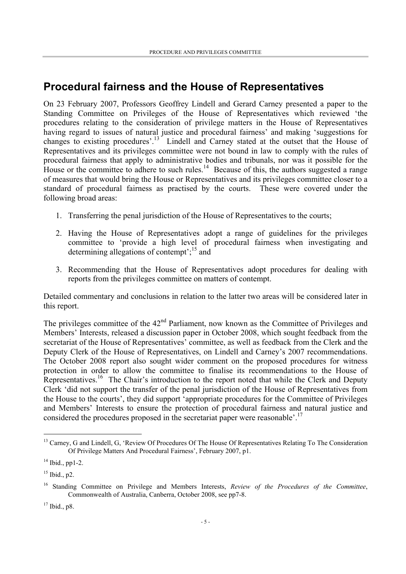### **Procedural fairness and the House of Representatives**

On 23 February 2007, Professors Geoffrey Lindell and Gerard Carney presented a paper to the Standing Committee on Privileges of the House of Representatives which reviewed 'the procedures relating to the consideration of privilege matters in the House of Representatives having regard to issues of natural justice and procedural fairness' and making 'suggestions for changes to existing procedures'.<sup>13</sup> Lindell and Carney stated at the outset that the House of Representatives and its privileges committee were not bound in law to comply with the rules of procedural fairness that apply to administrative bodies and tribunals, nor was it possible for the House or the committee to adhere to such rules.14 Because of this, the authors suggested a range of measures that would bring the House or Representatives and its privileges committee closer to a standard of procedural fairness as practised by the courts. These were covered under the following broad areas:

- 1. Transferring the penal jurisdiction of the House of Representatives to the courts;
- 2. Having the House of Representatives adopt a range of guidelines for the privileges committee to 'provide a high level of procedural fairness when investigating and determining allegations of contempt';  $15$  and
- 3. Recommending that the House of Representatives adopt procedures for dealing with reports from the privileges committee on matters of contempt.

Detailed commentary and conclusions in relation to the latter two areas will be considered later in this report.

The privileges committee of the 42<sup>nd</sup> Parliament, now known as the Committee of Privileges and Members' Interests, released a discussion paper in October 2008, which sought feedback from the secretariat of the House of Representatives' committee, as well as feedback from the Clerk and the Deputy Clerk of the House of Representatives, on Lindell and Carney's 2007 recommendations. The October 2008 report also sought wider comment on the proposed procedures for witness protection in order to allow the committee to finalise its recommendations to the House of Representatives.<sup>16</sup> The Chair's introduction to the report noted that while the Clerk and Deputy Clerk 'did not support the transfer of the penal jurisdiction of the House of Representatives from the House to the courts', they did support 'appropriate procedures for the Committee of Privileges and Members' Interests to ensure the protection of procedural fairness and natural justice and considered the procedures proposed in the secretariat paper were reasonable'.<sup>17</sup>

l

<sup>&</sup>lt;sup>13</sup> Carney, G and Lindell, G, 'Review Of Procedures Of The House Of Representatives Relating To The Consideration Of Privilege Matters And Procedural Fairness', February 2007, p1.

 $14$  Ibid., pp1-2.

 $15$  Ibid., p2.

<sup>16</sup> Standing Committee on Privilege and Members Interests, *Review of the Procedures of the Committee*, Commonwealth of Australia, Canberra, October 2008, see pp7-8.

<sup>17</sup> Ibid., p8.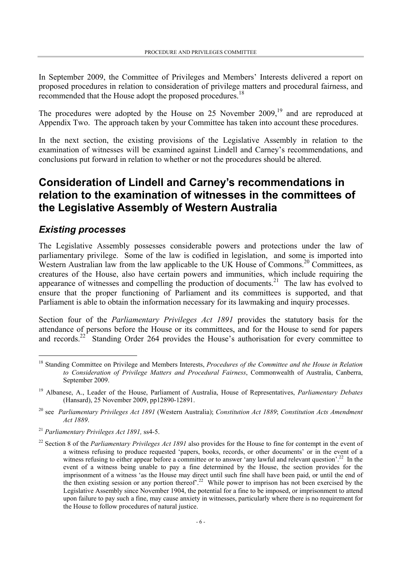In September 2009, the Committee of Privileges and Members' Interests delivered a report on proposed procedures in relation to consideration of privilege matters and procedural fairness, and recommended that the House adopt the proposed procedures.<sup>18</sup>

The procedures were adopted by the House on 25 November 2009,<sup>19</sup> and are reproduced at Appendix Two. The approach taken by your Committee has taken into account these procedures.

In the next section, the existing provisions of the Legislative Assembly in relation to the examination of witnesses will be examined against Lindell and Carney's recommendations, and conclusions put forward in relation to whether or not the procedures should be altered.

### **Consideration of Lindell and Carney's recommendations in relation to the examination of witnesses in the committees of the Legislative Assembly of Western Australia**

#### *Existing processes*

 $\overline{a}$ 

The Legislative Assembly possesses considerable powers and protections under the law of parliamentary privilege. Some of the law is codified in legislation, and some is imported into Western Australian law from the law applicable to the UK House of Commons.<sup>20</sup> Committees, as creatures of the House, also have certain powers and immunities, which include requiring the appearance of witnesses and compelling the production of documents.<sup>21</sup> The law has evolved to ensure that the proper functioning of Parliament and its committees is supported, and that Parliament is able to obtain the information necessary for its lawmaking and inquiry processes.

Section four of the *Parliamentary Privileges Act 1891* provides the statutory basis for the attendance of persons before the House or its committees, and for the House to send for papers and records.<sup>22</sup> Standing Order 264 provides the House's authorisation for every committee to

<sup>18</sup> Standing Committee on Privilege and Members Interests, *Procedures of the Committee and the House in Relation to Consideration of Privilege Matters and Procedural Fairness*, Commonwealth of Australia, Canberra, September 2009.

<sup>19</sup> Albanese, A., Leader of the House, Parliament of Australia, House of Representatives, *Parliamentary Debates* (Hansard), 25 November 2009, pp12890-12891.

<sup>20</sup> see *Parliamentary Privileges Act 1891* (Western Australia); *Constitution Act 1889*; *Constitution Acts Amendment Act 1889*.

<sup>21</sup> *Parliamentary Privileges Act 1891,* ss4-5.

<sup>&</sup>lt;sup>22</sup> Section 8 of the *Parliamentary Privileges Act 1891* also provides for the House to fine for contempt in the event of a witness refusing to produce requested 'papers, books, records, or other documents' or in the event of a witness refusing to either appear before a committee or to answer 'any lawful and relevant question'.<sup>22</sup> In the event of a witness being unable to pay a fine determined by the House, the section provides for the imprisonment of a witness 'as the House may direct until such fine shall have been paid, or until the end of the then existing session or any portion thereof<sup>2.22</sup> While power to imprison has not been exercised by the Legislative Assembly since November 1904, the potential for a fine to be imposed, or imprisonment to attend upon failure to pay such a fine, may cause anxiety in witnesses, particularly where there is no requirement for the House to follow procedures of natural justice.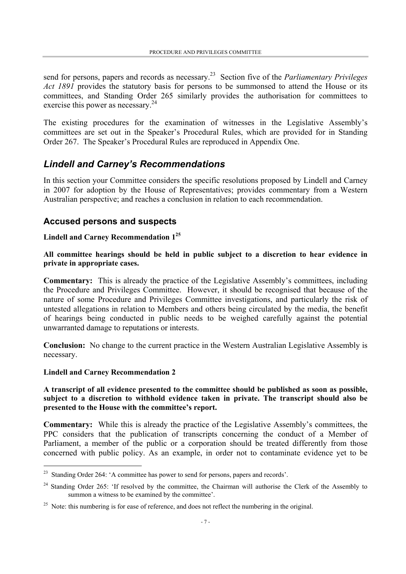send for persons, papers and records as necessary.23 Section five of the *Parliamentary Privileges Act 1891* provides the statutory basis for persons to be summonsed to attend the House or its committees, and Standing Order 265 similarly provides the authorisation for committees to exercise this power as necessary.<sup>24</sup>

The existing procedures for the examination of witnesses in the Legislative Assembly's committees are set out in the Speaker's Procedural Rules, which are provided for in Standing Order 267. The Speaker's Procedural Rules are reproduced in Appendix One.

#### *Lindell and Carney's Recommendations*

In this section your Committee considers the specific resolutions proposed by Lindell and Carney in 2007 for adoption by the House of Representatives; provides commentary from a Western Australian perspective; and reaches a conclusion in relation to each recommendation.

#### **Accused persons and suspects**

#### **Lindell and Carney Recommendation 125**

**All committee hearings should be held in public subject to a discretion to hear evidence in private in appropriate cases.**

**Commentary:** This is already the practice of the Legislative Assembly's committees, including the Procedure and Privileges Committee. However, it should be recognised that because of the nature of some Procedure and Privileges Committee investigations, and particularly the risk of untested allegations in relation to Members and others being circulated by the media, the benefit of hearings being conducted in public needs to be weighed carefully against the potential unwarranted damage to reputations or interests.

**Conclusion:** No change to the current practice in the Western Australian Legislative Assembly is necessary.

#### **Lindell and Carney Recommendation 2**

l

**A transcript of all evidence presented to the committee should be published as soon as possible, subject to a discretion to withhold evidence taken in private. The transcript should also be presented to the House with the committee's report.**

**Commentary:** While this is already the practice of the Legislative Assembly's committees, the PPC considers that the publication of transcripts concerning the conduct of a Member of Parliament, a member of the public or a corporation should be treated differently from those concerned with public policy. As an example, in order not to contaminate evidence yet to be

<sup>&</sup>lt;sup>23</sup> Standing Order 264: 'A committee has power to send for persons, papers and records'.

<sup>&</sup>lt;sup>24</sup> Standing Order 265: 'If resolved by the committee, the Chairman will authorise the Clerk of the Assembly to summon a witness to be examined by the committee'.

<sup>&</sup>lt;sup>25</sup> Note: this numbering is for ease of reference, and does not reflect the numbering in the original.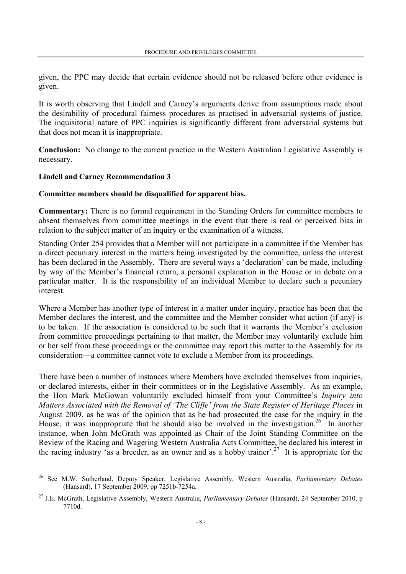given, the PPC may decide that certain evidence should not be released before other evidence is given.

It is worth observing that Lindell and Carney's arguments derive from assumptions made about the desirability of procedural fairness procedures as practised in adversarial systems of justice. The inquisitorial nature of PPC inquiries is significantly different from adversarial systems but that does not mean it is inappropriate.

**Conclusion:** No change to the current practice in the Western Australian Legislative Assembly is necessary.

#### **Lindell and Carney Recommendation 3**

l

#### **Committee members should be disqualified for apparent bias.**

**Commentary:** There is no formal requirement in the Standing Orders for committee members to absent themselves from committee meetings in the event that there is real or perceived bias in relation to the subject matter of an inquiry or the examination of a witness.

Standing Order 254 provides that a Member will not participate in a committee if the Member has a direct pecuniary interest in the matters being investigated by the committee, unless the interest has been declared in the Assembly. There are several ways a 'declaration' can be made, including by way of the Member's financial return, a personal explanation in the House or in debate on a particular matter. It is the responsibility of an individual Member to declare such a pecuniary interest.

Where a Member has another type of interest in a matter under inquiry, practice has been that the Member declares the interest, and the committee and the Member consider what action (if any) is to be taken. If the association is considered to be such that it warrants the Member's exclusion from committee proceedings pertaining to that matter, the Member may voluntarily exclude him or her self from these proceedings or the committee may report this matter to the Assembly for its consideration—a committee cannot vote to exclude a Member from its proceedings.

There have been a number of instances where Members have excluded themselves from inquiries, or declared interests, either in their committees or in the Legislative Assembly. As an example, the Hon Mark McGowan voluntarily excluded himself from your Committee's *Inquiry into Matters Associated with the Removal of 'The Cliffe' from the State Register of Heritage Places* in August 2009, as he was of the opinion that as he had prosecuted the case for the inquiry in the House, it was inappropriate that he should also be involved in the investigation.<sup>26</sup> In another instance, when John McGrath was appointed as Chair of the Joint Standing Committee on the Review of the Racing and Wagering Western Australia Acts Committee, he declared his interest in the racing industry 'as a breeder, as an owner and as a hobby trainer'.<sup>27</sup> It is appropriate for the

<sup>26</sup> See M.W. Sutherland, Deputy Speaker, Legislative Assembly, Western Australia, *Parliamentary Debates* (Hansard), 17 September 2009, pp 7251b-7254a.

<sup>27</sup> J.E. McGrath, Legislative Assembly, Western Australia, *Parliamentary Debates* (Hansard), 24 September 2010, p 7710d.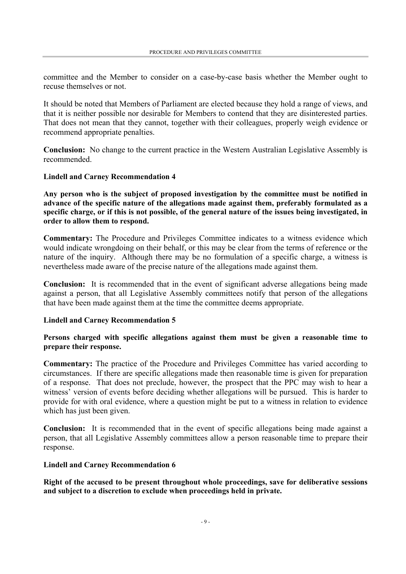committee and the Member to consider on a case-by-case basis whether the Member ought to recuse themselves or not.

It should be noted that Members of Parliament are elected because they hold a range of views, and that it is neither possible nor desirable for Members to contend that they are disinterested parties. That does not mean that they cannot, together with their colleagues, properly weigh evidence or recommend appropriate penalties.

**Conclusion:** No change to the current practice in the Western Australian Legislative Assembly is recommended.

#### **Lindell and Carney Recommendation 4**

**Any person who is the subject of proposed investigation by the committee must be notified in advance of the specific nature of the allegations made against them, preferably formulated as a specific charge, or if this is not possible, of the general nature of the issues being investigated, in order to allow them to respond.**

**Commentary:** The Procedure and Privileges Committee indicates to a witness evidence which would indicate wrongdoing on their behalf, or this may be clear from the terms of reference or the nature of the inquiry. Although there may be no formulation of a specific charge, a witness is nevertheless made aware of the precise nature of the allegations made against them.

**Conclusion:** It is recommended that in the event of significant adverse allegations being made against a person, that all Legislative Assembly committees notify that person of the allegations that have been made against them at the time the committee deems appropriate.

#### **Lindell and Carney Recommendation 5**

#### **Persons charged with specific allegations against them must be given a reasonable time to prepare their response.**

**Commentary:** The practice of the Procedure and Privileges Committee has varied according to circumstances. If there are specific allegations made then reasonable time is given for preparation of a response. That does not preclude, however, the prospect that the PPC may wish to hear a witness<sup>'</sup> version of events before deciding whether allegations will be pursued. This is harder to provide for with oral evidence, where a question might be put to a witness in relation to evidence which has just been given.

**Conclusion:** It is recommended that in the event of specific allegations being made against a person, that all Legislative Assembly committees allow a person reasonable time to prepare their response.

#### **Lindell and Carney Recommendation 6**

**Right of the accused to be present throughout whole proceedings, save for deliberative sessions and subject to a discretion to exclude when proceedings held in private.**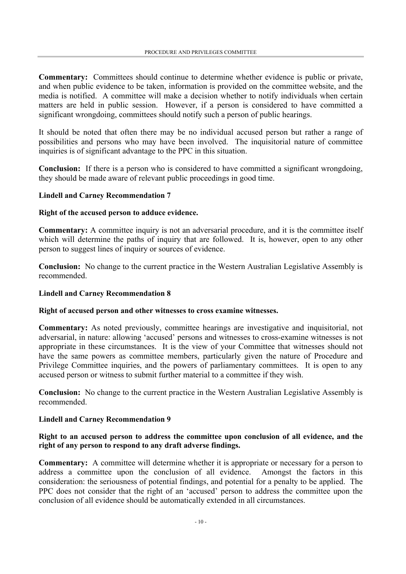**Commentary:** Committees should continue to determine whether evidence is public or private, and when public evidence to be taken, information is provided on the committee website, and the media is notified. A committee will make a decision whether to notify individuals when certain matters are held in public session. However, if a person is considered to have committed a significant wrongdoing, committees should notify such a person of public hearings.

It should be noted that often there may be no individual accused person but rather a range of possibilities and persons who may have been involved. The inquisitorial nature of committee inquiries is of significant advantage to the PPC in this situation.

**Conclusion:** If there is a person who is considered to have committed a significant wrongdoing, they should be made aware of relevant public proceedings in good time.

#### **Lindell and Carney Recommendation 7**

#### **Right of the accused person to adduce evidence.**

**Commentary:** A committee inquiry is not an adversarial procedure, and it is the committee itself which will determine the paths of inquiry that are followed. It is, however, open to any other person to suggest lines of inquiry or sources of evidence.

**Conclusion:** No change to the current practice in the Western Australian Legislative Assembly is recommended.

#### **Lindell and Carney Recommendation 8**

#### **Right of accused person and other witnesses to cross examine witnesses.**

**Commentary:** As noted previously, committee hearings are investigative and inquisitorial, not adversarial, in nature: allowing 'accused' persons and witnesses to cross-examine witnesses is not appropriate in these circumstances. It is the view of your Committee that witnesses should not have the same powers as committee members, particularly given the nature of Procedure and Privilege Committee inquiries, and the powers of parliamentary committees. It is open to any accused person or witness to submit further material to a committee if they wish.

**Conclusion:** No change to the current practice in the Western Australian Legislative Assembly is recommended.

#### **Lindell and Carney Recommendation 9**

#### **Right to an accused person to address the committee upon conclusion of all evidence, and the right of any person to respond to any draft adverse findings.**

**Commentary:** A committee will determine whether it is appropriate or necessary for a person to address a committee upon the conclusion of all evidence. Amongst the factors in this consideration: the seriousness of potential findings, and potential for a penalty to be applied. The PPC does not consider that the right of an 'accused' person to address the committee upon the conclusion of all evidence should be automatically extended in all circumstances.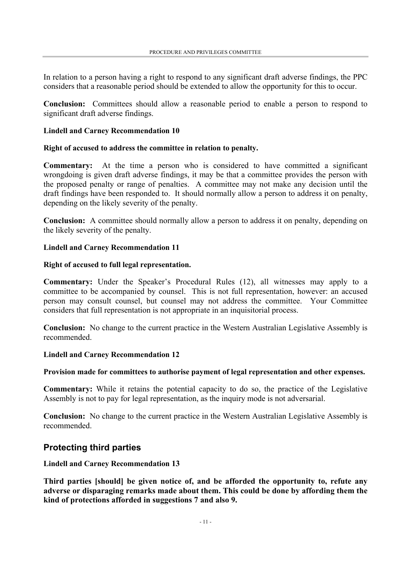In relation to a person having a right to respond to any significant draft adverse findings, the PPC considers that a reasonable period should be extended to allow the opportunity for this to occur.

**Conclusion:** Committees should allow a reasonable period to enable a person to respond to significant draft adverse findings.

#### **Lindell and Carney Recommendation 10**

#### **Right of accused to address the committee in relation to penalty.**

**Commentary:** At the time a person who is considered to have committed a significant wrongdoing is given draft adverse findings, it may be that a committee provides the person with the proposed penalty or range of penalties. A committee may not make any decision until the draft findings have been responded to. It should normally allow a person to address it on penalty, depending on the likely severity of the penalty.

**Conclusion:** A committee should normally allow a person to address it on penalty, depending on the likely severity of the penalty.

#### **Lindell and Carney Recommendation 11**

#### **Right of accused to full legal representation.**

**Commentary:** Under the Speaker's Procedural Rules (12), all witnesses may apply to a committee to be accompanied by counsel. This is not full representation, however: an accused person may consult counsel, but counsel may not address the committee. Your Committee considers that full representation is not appropriate in an inquisitorial process.

**Conclusion:** No change to the current practice in the Western Australian Legislative Assembly is recommended.

#### **Lindell and Carney Recommendation 12**

#### **Provision made for committees to authorise payment of legal representation and other expenses.**

**Commentary:** While it retains the potential capacity to do so, the practice of the Legislative Assembly is not to pay for legal representation, as the inquiry mode is not adversarial.

**Conclusion:** No change to the current practice in the Western Australian Legislative Assembly is recommended.

#### **Protecting third parties**

#### **Lindell and Carney Recommendation 13**

**Third parties [should] be given notice of, and be afforded the opportunity to, refute any adverse or disparaging remarks made about them. This could be done by affording them the kind of protections afforded in suggestions 7 and also 9.**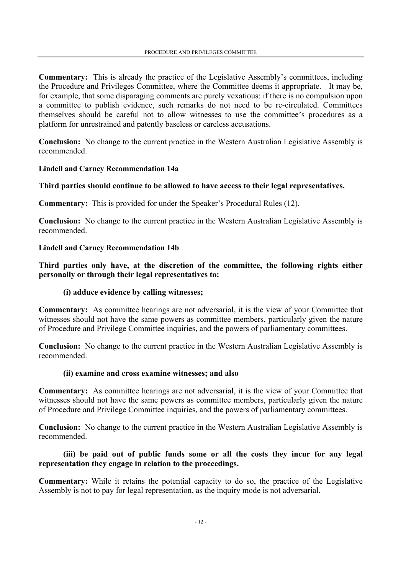**Commentary:** This is already the practice of the Legislative Assembly's committees, including the Procedure and Privileges Committee, where the Committee deems it appropriate. It may be, for example, that some disparaging comments are purely vexatious: if there is no compulsion upon a committee to publish evidence, such remarks do not need to be re-circulated. Committees themselves should be careful not to allow witnesses to use the committee's procedures as a platform for unrestrained and patently baseless or careless accusations.

**Conclusion:** No change to the current practice in the Western Australian Legislative Assembly is recommended.

#### **Lindell and Carney Recommendation 14a**

#### **Third parties should continue to be allowed to have access to their legal representatives.**

**Commentary:** This is provided for under the Speaker's Procedural Rules (12).

**Conclusion:** No change to the current practice in the Western Australian Legislative Assembly is recommended.

#### **Lindell and Carney Recommendation 14b**

**Third parties only have, at the discretion of the committee, the following rights either personally or through their legal representatives to:** 

#### **(i) adduce evidence by calling witnesses;**

**Commentary:** As committee hearings are not adversarial, it is the view of your Committee that witnesses should not have the same powers as committee members, particularly given the nature of Procedure and Privilege Committee inquiries, and the powers of parliamentary committees.

**Conclusion:** No change to the current practice in the Western Australian Legislative Assembly is recommended.

#### **(ii) examine and cross examine witnesses; and also**

**Commentary:** As committee hearings are not adversarial, it is the view of your Committee that witnesses should not have the same powers as committee members, particularly given the nature of Procedure and Privilege Committee inquiries, and the powers of parliamentary committees.

**Conclusion:** No change to the current practice in the Western Australian Legislative Assembly is recommended.

#### **(iii) be paid out of public funds some or all the costs they incur for any legal representation they engage in relation to the proceedings.**

**Commentary:** While it retains the potential capacity to do so, the practice of the Legislative Assembly is not to pay for legal representation, as the inquiry mode is not adversarial.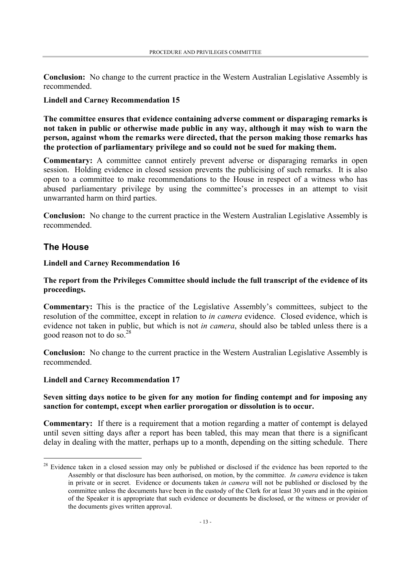**Conclusion:** No change to the current practice in the Western Australian Legislative Assembly is recommended.

#### **Lindell and Carney Recommendation 15**

**The committee ensures that evidence containing adverse comment or disparaging remarks is not taken in public or otherwise made public in any way, although it may wish to warn the person, against whom the remarks were directed, that the person making those remarks has the protection of parliamentary privilege and so could not be sued for making them.**

**Commentary:** A committee cannot entirely prevent adverse or disparaging remarks in open session. Holding evidence in closed session prevents the publicising of such remarks. It is also open to a committee to make recommendations to the House in respect of a witness who has abused parliamentary privilege by using the committee's processes in an attempt to visit unwarranted harm on third parties.

**Conclusion:** No change to the current practice in the Western Australian Legislative Assembly is recommended.

#### **The House**

 $\overline{a}$ 

#### **Lindell and Carney Recommendation 16**

#### **The report from the Privileges Committee should include the full transcript of the evidence of its proceedings.**

**Commentary:** This is the practice of the Legislative Assembly's committees, subject to the resolution of the committee, except in relation to *in camera* evidence. Closed evidence, which is evidence not taken in public, but which is not *in camera*, should also be tabled unless there is a good reason not to do so.28

**Conclusion:** No change to the current practice in the Western Australian Legislative Assembly is recommended.

#### **Lindell and Carney Recommendation 17**

#### **Seven sitting days notice to be given for any motion for finding contempt and for imposing any sanction for contempt, except when earlier prorogation or dissolution is to occur.**

**Commentary:** If there is a requirement that a motion regarding a matter of contempt is delayed until seven sitting days after a report has been tabled, this may mean that there is a significant delay in dealing with the matter, perhaps up to a month, depending on the sitting schedule. There

<sup>&</sup>lt;sup>28</sup> Evidence taken in a closed session may only be published or disclosed if the evidence has been reported to the Assembly or that disclosure has been authorised, on motion, by the committee. *In camera* evidence is taken in private or in secret. Evidence or documents taken *in camera* will not be published or disclosed by the committee unless the documents have been in the custody of the Clerk for at least 30 years and in the opinion of the Speaker it is appropriate that such evidence or documents be disclosed, or the witness or provider of the documents gives written approval.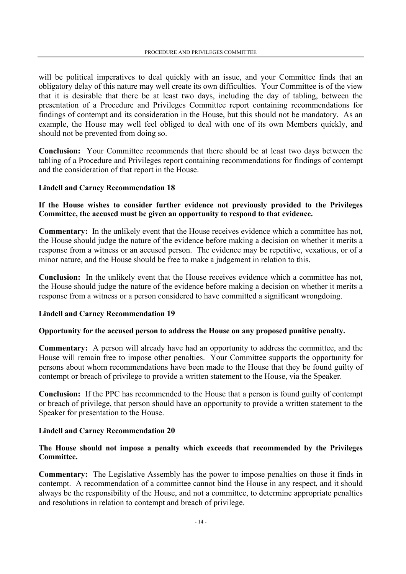will be political imperatives to deal quickly with an issue, and your Committee finds that an obligatory delay of this nature may well create its own difficulties. Your Committee is of the view that it is desirable that there be at least two days, including the day of tabling, between the presentation of a Procedure and Privileges Committee report containing recommendations for findings of contempt and its consideration in the House, but this should not be mandatory. As an example, the House may well feel obliged to deal with one of its own Members quickly, and should not be prevented from doing so.

**Conclusion:** Your Committee recommends that there should be at least two days between the tabling of a Procedure and Privileges report containing recommendations for findings of contempt and the consideration of that report in the House.

#### **Lindell and Carney Recommendation 18**

#### **If the House wishes to consider further evidence not previously provided to the Privileges Committee, the accused must be given an opportunity to respond to that evidence.**

**Commentary:** In the unlikely event that the House receives evidence which a committee has not, the House should judge the nature of the evidence before making a decision on whether it merits a response from a witness or an accused person. The evidence may be repetitive, vexatious, or of a minor nature, and the House should be free to make a judgement in relation to this.

**Conclusion:** In the unlikely event that the House receives evidence which a committee has not, the House should judge the nature of the evidence before making a decision on whether it merits a response from a witness or a person considered to have committed a significant wrongdoing.

#### **Lindell and Carney Recommendation 19**

#### **Opportunity for the accused person to address the House on any proposed punitive penalty.**

**Commentary:** A person will already have had an opportunity to address the committee, and the House will remain free to impose other penalties. Your Committee supports the opportunity for persons about whom recommendations have been made to the House that they be found guilty of contempt or breach of privilege to provide a written statement to the House, via the Speaker.

**Conclusion:** If the PPC has recommended to the House that a person is found guilty of contempt or breach of privilege, that person should have an opportunity to provide a written statement to the Speaker for presentation to the House.

#### **Lindell and Carney Recommendation 20**

#### **The House should not impose a penalty which exceeds that recommended by the Privileges Committee.**

**Commentary:** The Legislative Assembly has the power to impose penalties on those it finds in contempt. A recommendation of a committee cannot bind the House in any respect, and it should always be the responsibility of the House, and not a committee, to determine appropriate penalties and resolutions in relation to contempt and breach of privilege.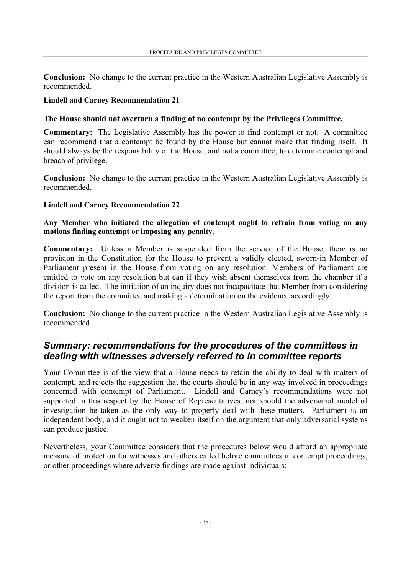**Conclusion:** No change to the current practice in the Western Australian Legislative Assembly is recommended.

#### **Lindell and Carney Recommendation 21**

#### **The House should not overturn a finding of no contempt by the Privileges Committee.**

**Commentary:** The Legislative Assembly has the power to find contempt or not. A committee can recommend that a contempt be found by the House but cannot make that finding itself. It should always be the responsibility of the House, and not a committee, to determine contempt and breach of privilege.

**Conclusion:** No change to the current practice in the Western Australian Legislative Assembly is recommended.

#### **Lindell and Carney Recommendation 22**

**Any Member who initiated the allegation of contempt ought to refrain from voting on any motions finding contempt or imposing any penalty.**

**Commentary:** Unless a Member is suspended from the service of the House, there is no provision in the Constitution for the House to prevent a validly elected, sworn-in Member of Parliament present in the House from voting on any resolution. Members of Parliament are entitled to vote on any resolution but can if they wish absent themselves from the chamber if a division is called. The initiation of an inquiry does not incapacitate that Member from considering the report from the committee and making a determination on the evidence accordingly.

**Conclusion:** No change to the current practice in the Western Australian Legislative Assembly is recommended.

### *Summary: recommendations for the procedures of the committees in dealing with witnesses adversely referred to in committee reports*

Your Committee is of the view that a House needs to retain the ability to deal with matters of contempt, and rejects the suggestion that the courts should be in any way involved in proceedings concerned with contempt of Parliament. Lindell and Carney's recommendations were not supported in this respect by the House of Representatives, nor should the adversarial model of investigation be taken as the only way to properly deal with these matters. Parliament is an independent body, and it ought not to weaken itself on the argument that only adversarial systems can produce justice.

Nevertheless, your Committee considers that the procedures below would afford an appropriate measure of protection for witnesses and others called before committees in contempt proceedings, or other proceedings where adverse findings are made against individuals: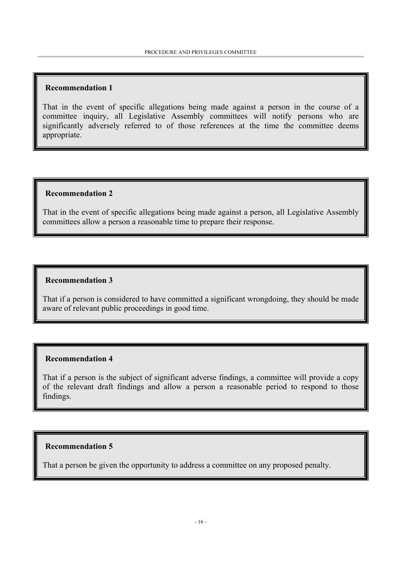#### **Recommendation 1**

That in the event of specific allegations being made against a person in the course of a committee inquiry, all Legislative Assembly committees will notify persons who are significantly adversely referred to of those references at the time the committee deems appropriate.

#### **Recommendation 2**

That in the event of specific allegations being made against a person, all Legislative Assembly committees allow a person a reasonable time to prepare their response.

#### **Recommendation 3**

That if a person is considered to have committed a significant wrongdoing, they should be made aware of relevant public proceedings in good time.

#### **Recommendation 4**

That if a person is the subject of significant adverse findings, a committee will provide a copy of the relevant draft findings and allow a person a reasonable period to respond to those findings.

#### **Recommendation 5**

That a person be given the opportunity to address a committee on any proposed penalty.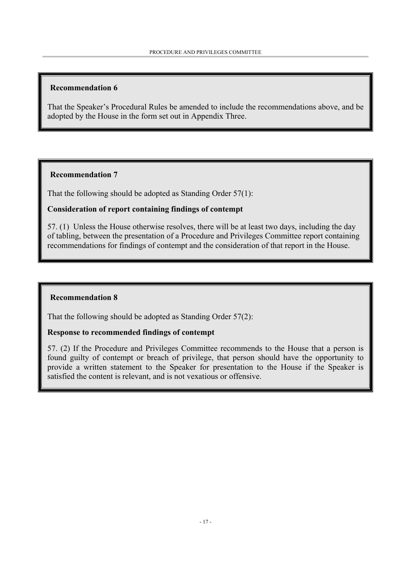#### **Recommendation 6**

That the Speaker's Procedural Rules be amended to include the recommendations above, and be adopted by the House in the form set out in Appendix Three.

#### **Recommendation 7**

That the following should be adopted as Standing Order 57(1):

#### **Consideration of report containing findings of contempt**

57. (1) Unless the House otherwise resolves, there will be at least two days, including the day of tabling, between the presentation of a Procedure and Privileges Committee report containing recommendations for findings of contempt and the consideration of that report in the House.

#### **Recommendation 8**

That the following should be adopted as Standing Order 57(2):

#### **Response to recommended findings of contempt**

57. (2) If the Procedure and Privileges Committee recommends to the House that a person is found guilty of contempt or breach of privilege, that person should have the opportunity to provide a written statement to the Speaker for presentation to the House if the Speaker is satisfied the content is relevant, and is not vexatious or offensive.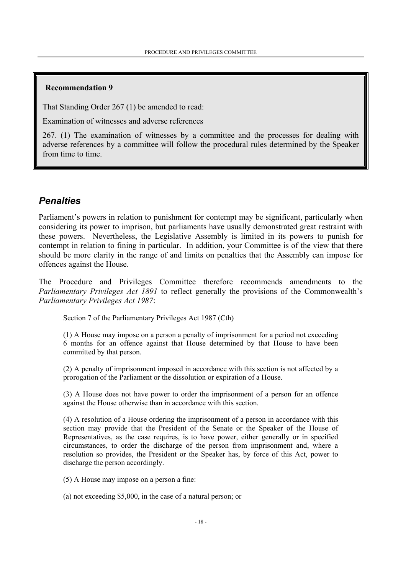#### **Recommendation 9**

That Standing Order 267 (1) be amended to read:

Examination of witnesses and adverse references

267. (1) The examination of witnesses by a committee and the processes for dealing with adverse references by a committee will follow the procedural rules determined by the Speaker from time to time.

#### *Penalties*

Parliament's powers in relation to punishment for contempt may be significant, particularly when considering its power to imprison, but parliaments have usually demonstrated great restraint with these powers. Nevertheless, the Legislative Assembly is limited in its powers to punish for contempt in relation to fining in particular. In addition, your Committee is of the view that there should be more clarity in the range of and limits on penalties that the Assembly can impose for offences against the House.

The Procedure and Privileges Committee therefore recommends amendments to the *Parliamentary Privileges Act 1891* to reflect generally the provisions of the Commonwealth's *Parliamentary Privileges Act 1987*:

Section 7 of the Parliamentary Privileges Act 1987 (Cth)

(1) A House may impose on a person a penalty of imprisonment for a period not exceeding 6 months for an offence against that House determined by that House to have been committed by that person.

(2) A penalty of imprisonment imposed in accordance with this section is not affected by a prorogation of the Parliament or the dissolution or expiration of a House.

(3) A House does not have power to order the imprisonment of a person for an offence against the House otherwise than in accordance with this section.

(4) A resolution of a House ordering the imprisonment of a person in accordance with this section may provide that the President of the Senate or the Speaker of the House of Representatives, as the case requires, is to have power, either generally or in specified circumstances, to order the discharge of the person from imprisonment and, where a resolution so provides, the President or the Speaker has, by force of this Act, power to discharge the person accordingly.

(5) A House may impose on a person a fine:

(a) not exceeding \$5,000, in the case of a natural person; or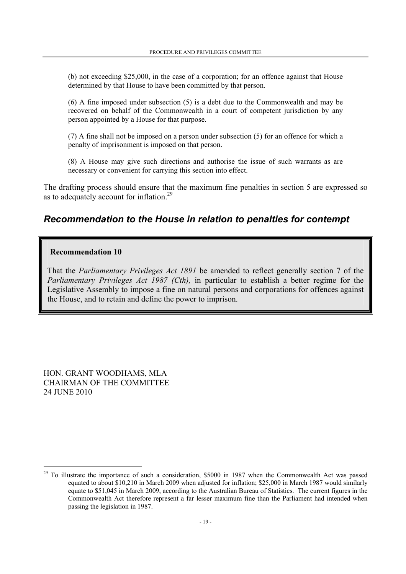(b) not exceeding \$25,000, in the case of a corporation; for an offence against that House determined by that House to have been committed by that person.

(6) A fine imposed under subsection (5) is a debt due to the Commonwealth and may be recovered on behalf of the Commonwealth in a court of competent jurisdiction by any person appointed by a House for that purpose.

(7) A fine shall not be imposed on a person under subsection (5) for an offence for which a penalty of imprisonment is imposed on that person.

(8) A House may give such directions and authorise the issue of such warrants as are necessary or convenient for carrying this section into effect.

The drafting process should ensure that the maximum fine penalties in section 5 are expressed so as to adequately account for inflation.<sup>29</sup>

#### *Recommendation to the House in relation to penalties for contempt*

#### **Recommendation 10**

That the *Parliamentary Privileges Act 1891* be amended to reflect generally section 7 of the *Parliamentary Privileges Act 1987 (Cth),* in particular to establish a better regime for the Legislative Assembly to impose a fine on natural persons and corporations for offences against the House, and to retain and define the power to imprison.

HON. GRANT WOODHAMS, MLA CHAIRMAN OF THE COMMITTEE 24 JUNE 2010

 $\overline{a}$ 

<sup>&</sup>lt;sup>29</sup> To illustrate the importance of such a consideration, \$5000 in 1987 when the Commonwealth Act was passed equated to about \$10,210 in March 2009 when adjusted for inflation; \$25,000 in March 1987 would similarly equate to \$51,045 in March 2009, according to the Australian Bureau of Statistics. The current figures in the Commonwealth Act therefore represent a far lesser maximum fine than the Parliament had intended when passing the legislation in 1987.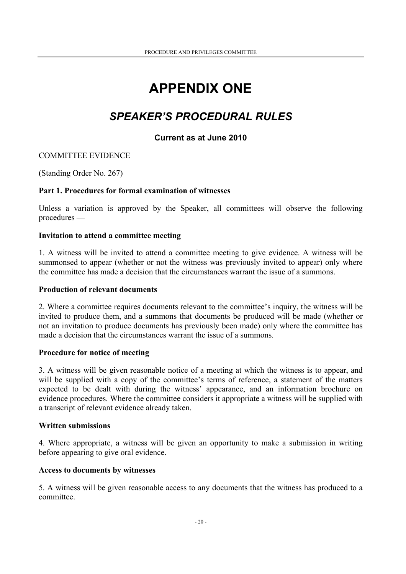## **APPENDIX ONE**

## *SPEAKER'S PROCEDURAL RULES*

#### **Current as at June 2010**

#### COMMITTEE EVIDENCE

(Standing Order No. 267)

#### **Part 1. Procedures for formal examination of witnesses**

Unless a variation is approved by the Speaker, all committees will observe the following procedures —

#### **Invitation to attend a committee meeting**

1. A witness will be invited to attend a committee meeting to give evidence. A witness will be summonsed to appear (whether or not the witness was previously invited to appear) only where the committee has made a decision that the circumstances warrant the issue of a summons.

#### **Production of relevant documents**

2. Where a committee requires documents relevant to the committee's inquiry, the witness will be invited to produce them, and a summons that documents be produced will be made (whether or not an invitation to produce documents has previously been made) only where the committee has made a decision that the circumstances warrant the issue of a summons.

#### **Procedure for notice of meeting**

3. A witness will be given reasonable notice of a meeting at which the witness is to appear, and will be supplied with a copy of the committee's terms of reference, a statement of the matters expected to be dealt with during the witness' appearance, and an information brochure on evidence procedures. Where the committee considers it appropriate a witness will be supplied with a transcript of relevant evidence already taken.

#### **Written submissions**

4. Where appropriate, a witness will be given an opportunity to make a submission in writing before appearing to give oral evidence.

#### **Access to documents by witnesses**

5. A witness will be given reasonable access to any documents that the witness has produced to a committee.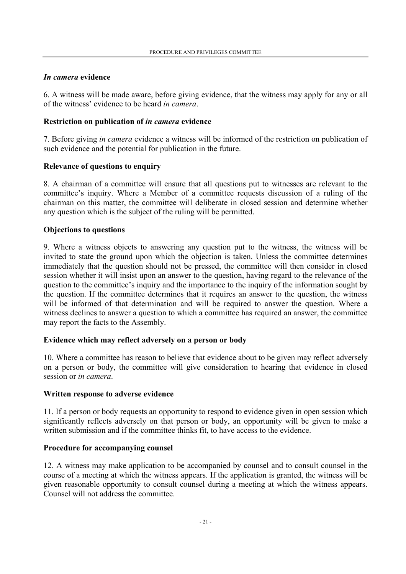#### *In camera* **evidence**

6. A witness will be made aware, before giving evidence, that the witness may apply for any or all of the witness' evidence to be heard *in camera*.

#### **Restriction on publication of** *in camera* **evidence**

7. Before giving *in camera* evidence a witness will be informed of the restriction on publication of such evidence and the potential for publication in the future.

#### **Relevance of questions to enquiry**

8. A chairman of a committee will ensure that all questions put to witnesses are relevant to the committee's inquiry. Where a Member of a committee requests discussion of a ruling of the chairman on this matter, the committee will deliberate in closed session and determine whether any question which is the subject of the ruling will be permitted.

#### **Objections to questions**

9. Where a witness objects to answering any question put to the witness, the witness will be invited to state the ground upon which the objection is taken. Unless the committee determines immediately that the question should not be pressed, the committee will then consider in closed session whether it will insist upon an answer to the question, having regard to the relevance of the question to the committee's inquiry and the importance to the inquiry of the information sought by the question. If the committee determines that it requires an answer to the question, the witness will be informed of that determination and will be required to answer the question. Where a witness declines to answer a question to which a committee has required an answer, the committee may report the facts to the Assembly.

#### **Evidence which may reflect adversely on a person or body**

10. Where a committee has reason to believe that evidence about to be given may reflect adversely on a person or body, the committee will give consideration to hearing that evidence in closed session or *in camera*.

#### **Written response to adverse evidence**

11. If a person or body requests an opportunity to respond to evidence given in open session which significantly reflects adversely on that person or body, an opportunity will be given to make a written submission and if the committee thinks fit, to have access to the evidence.

#### **Procedure for accompanying counsel**

12. A witness may make application to be accompanied by counsel and to consult counsel in the course of a meeting at which the witness appears. If the application is granted, the witness will be given reasonable opportunity to consult counsel during a meeting at which the witness appears. Counsel will not address the committee.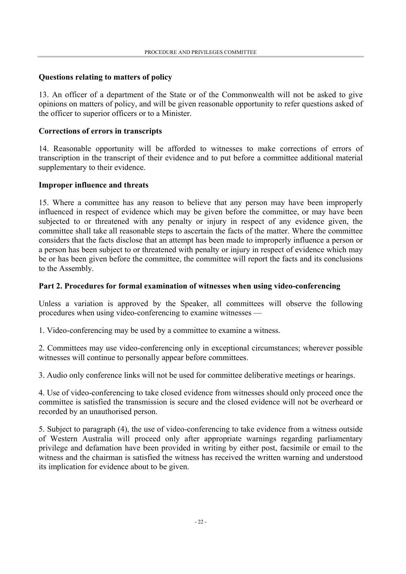#### **Questions relating to matters of policy**

13. An officer of a department of the State or of the Commonwealth will not be asked to give opinions on matters of policy, and will be given reasonable opportunity to refer questions asked of the officer to superior officers or to a Minister.

#### **Corrections of errors in transcripts**

14. Reasonable opportunity will be afforded to witnesses to make corrections of errors of transcription in the transcript of their evidence and to put before a committee additional material supplementary to their evidence.

#### **Improper influence and threats**

15. Where a committee has any reason to believe that any person may have been improperly influenced in respect of evidence which may be given before the committee, or may have been subjected to or threatened with any penalty or injury in respect of any evidence given, the committee shall take all reasonable steps to ascertain the facts of the matter. Where the committee considers that the facts disclose that an attempt has been made to improperly influence a person or a person has been subject to or threatened with penalty or injury in respect of evidence which may be or has been given before the committee, the committee will report the facts and its conclusions to the Assembly.

#### **Part 2. Procedures for formal examination of witnesses when using video-conferencing**

Unless a variation is approved by the Speaker, all committees will observe the following procedures when using video-conferencing to examine witnesses —

1. Video-conferencing may be used by a committee to examine a witness.

2. Committees may use video-conferencing only in exceptional circumstances; wherever possible witnesses will continue to personally appear before committees.

3. Audio only conference links will not be used for committee deliberative meetings or hearings.

4. Use of video-conferencing to take closed evidence from witnesses should only proceed once the committee is satisfied the transmission is secure and the closed evidence will not be overheard or recorded by an unauthorised person.

5. Subject to paragraph (4), the use of video-conferencing to take evidence from a witness outside of Western Australia will proceed only after appropriate warnings regarding parliamentary privilege and defamation have been provided in writing by either post, facsimile or email to the witness and the chairman is satisfied the witness has received the written warning and understood its implication for evidence about to be given.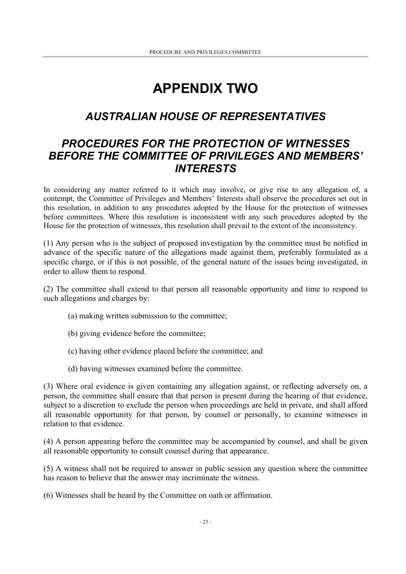## **APPENDIX TWO**

## *AUSTRALIAN HOUSE OF REPRESENTATIVES*

## *PROCEDURES FOR THE PROTECTION OF WITNESSES BEFORE THE COMMITTEE OF PRIVILEGES AND MEMBERS' INTERESTS*

In considering any matter referred to it which may involve, or give rise to any allegation of, a contempt, the Committee of Privileges and Members' Interests shall observe the procedures set out in this resolution, in addition to any procedures adopted by the House for the protection of witnesses before committees. Where this resolution is inconsistent with any such procedures adopted by the House for the protection of witnesses, this resolution shall prevail to the extent of the inconsistency.

(1) Any person who is the subject of proposed investigation by the committee must be notified in advance of the specific nature of the allegations made against them, preferably formulated as a specific charge, or if this is not possible, of the general nature of the issues being investigated, in order to allow them to respond.

(2) The committee shall extend to that person all reasonable opportunity and time to respond to such allegations and charges by:

- (a) making written submission to the committee;
- (b) giving evidence before the committee;
- (c) having other evidence placed before the committee; and
- (d) having witnesses examined before the committee.

(3) Where oral evidence is given containing any allegation against, or reflecting adversely on, a person, the committee shall ensure that that person is present during the hearing of that evidence, subject to a discretion to exclude the person when proceedings are held in private, and shall afford all reasonable opportunity for that person, by counsel or personally, to examine witnesses in relation to that evidence.

(4) A person appearing before the committee may be accompanied by counsel, and shall be given all reasonable opportunity to consult counsel during that appearance.

(5) A witness shall not be required to answer in public session any question where the committee has reason to believe that the answer may incriminate the witness.

(6) Witnesses shall be heard by the Committee on oath or affirmation.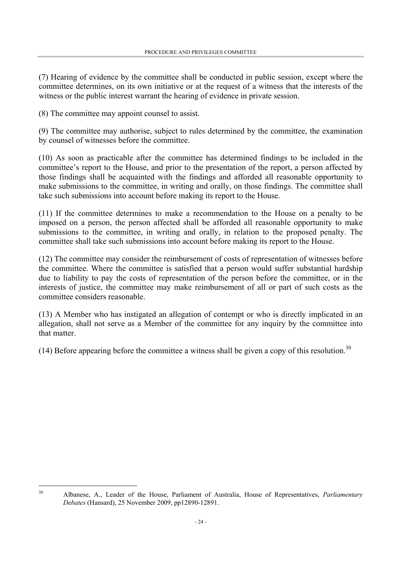(7) Hearing of evidence by the committee shall be conducted in public session, except where the committee determines, on its own initiative or at the request of a witness that the interests of the witness or the public interest warrant the hearing of evidence in private session.

(8) The committee may appoint counsel to assist.

 $\overline{a}$ 

(9) The committee may authorise, subject to rules determined by the committee, the examination by counsel of witnesses before the committee.

(10) As soon as practicable after the committee has determined findings to be included in the committee's report to the House, and prior to the presentation of the report, a person affected by those findings shall be acquainted with the findings and afforded all reasonable opportunity to make submissions to the committee, in writing and orally, on those findings. The committee shall take such submissions into account before making its report to the House.

(11) If the committee determines to make a recommendation to the House on a penalty to be imposed on a person, the person affected shall be afforded all reasonable opportunity to make submissions to the committee, in writing and orally, in relation to the proposed penalty. The committee shall take such submissions into account before making its report to the House.

(12) The committee may consider the reimbursement of costs of representation of witnesses before the committee. Where the committee is satisfied that a person would suffer substantial hardship due to liability to pay the costs of representation of the person before the committee, or in the interests of justice, the committee may make reimbursement of all or part of such costs as the committee considers reasonable.

(13) A Member who has instigated an allegation of contempt or who is directly implicated in an allegation, shall not serve as a Member of the committee for any inquiry by the committee into that matter.

(14) Before appearing before the committee a witness shall be given a copy of this resolution.<sup>30</sup>

30 Albanese, A., Leader of the House, Parliament of Australia, House of Representatives, *Parliamentary Debates* (Hansard), 25 November 2009, pp12890-12891.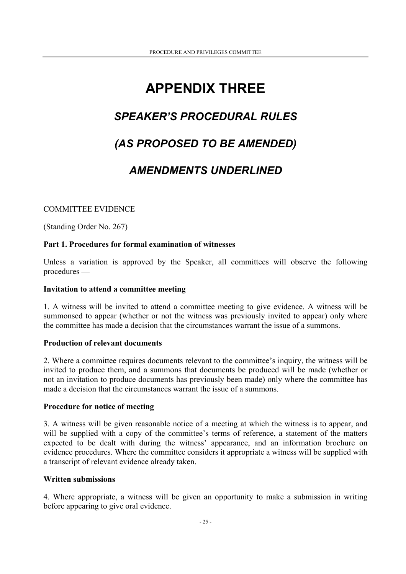## **APPENDIX THREE**

## *SPEAKER'S PROCEDURAL RULES*

## *(AS PROPOSED TO BE AMENDED)*

### *AMENDMENTS UNDERLINED*

#### COMMITTEE EVIDENCE

(Standing Order No. 267)

#### **Part 1. Procedures for formal examination of witnesses**

Unless a variation is approved by the Speaker, all committees will observe the following procedures —

#### **Invitation to attend a committee meeting**

1. A witness will be invited to attend a committee meeting to give evidence. A witness will be summonsed to appear (whether or not the witness was previously invited to appear) only where the committee has made a decision that the circumstances warrant the issue of a summons.

#### **Production of relevant documents**

2. Where a committee requires documents relevant to the committee's inquiry, the witness will be invited to produce them, and a summons that documents be produced will be made (whether or not an invitation to produce documents has previously been made) only where the committee has made a decision that the circumstances warrant the issue of a summons.

#### **Procedure for notice of meeting**

3. A witness will be given reasonable notice of a meeting at which the witness is to appear, and will be supplied with a copy of the committee's terms of reference, a statement of the matters expected to be dealt with during the witness' appearance, and an information brochure on evidence procedures. Where the committee considers it appropriate a witness will be supplied with a transcript of relevant evidence already taken.

#### **Written submissions**

4. Where appropriate, a witness will be given an opportunity to make a submission in writing before appearing to give oral evidence.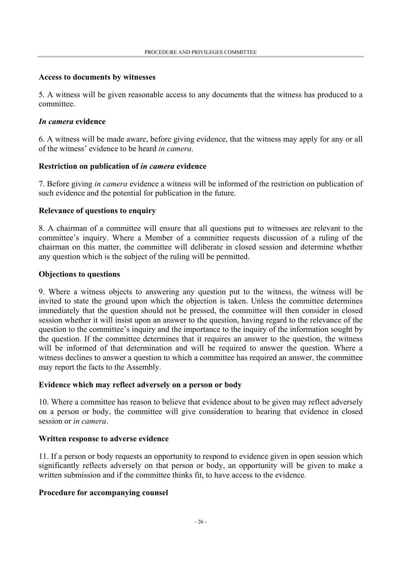#### **Access to documents by witnesses**

5. A witness will be given reasonable access to any documents that the witness has produced to a committee.

#### *In camera* **evidence**

6. A witness will be made aware, before giving evidence, that the witness may apply for any or all of the witness' evidence to be heard *in camera*.

#### **Restriction on publication of** *in camera* **evidence**

7. Before giving *in camera* evidence a witness will be informed of the restriction on publication of such evidence and the potential for publication in the future.

#### **Relevance of questions to enquiry**

8. A chairman of a committee will ensure that all questions put to witnesses are relevant to the committee's inquiry. Where a Member of a committee requests discussion of a ruling of the chairman on this matter, the committee will deliberate in closed session and determine whether any question which is the subject of the ruling will be permitted.

#### **Objections to questions**

9. Where a witness objects to answering any question put to the witness, the witness will be invited to state the ground upon which the objection is taken. Unless the committee determines immediately that the question should not be pressed, the committee will then consider in closed session whether it will insist upon an answer to the question, having regard to the relevance of the question to the committee's inquiry and the importance to the inquiry of the information sought by the question. If the committee determines that it requires an answer to the question, the witness will be informed of that determination and will be required to answer the question. Where a witness declines to answer a question to which a committee has required an answer, the committee may report the facts to the Assembly.

#### **Evidence which may reflect adversely on a person or body**

10. Where a committee has reason to believe that evidence about to be given may reflect adversely on a person or body, the committee will give consideration to hearing that evidence in closed session or *in camera*.

#### **Written response to adverse evidence**

11. If a person or body requests an opportunity to respond to evidence given in open session which significantly reflects adversely on that person or body, an opportunity will be given to make a written submission and if the committee thinks fit, to have access to the evidence.

#### **Procedure for accompanying counsel**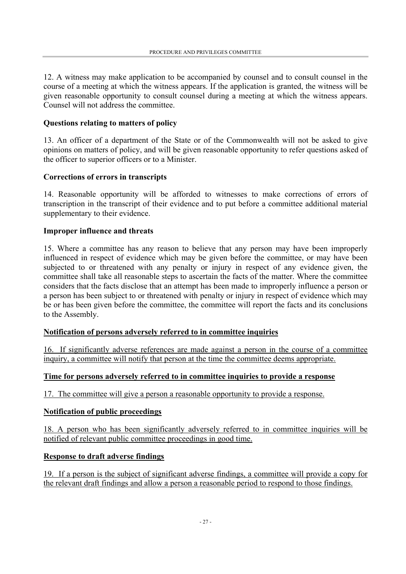12. A witness may make application to be accompanied by counsel and to consult counsel in the course of a meeting at which the witness appears. If the application is granted, the witness will be given reasonable opportunity to consult counsel during a meeting at which the witness appears. Counsel will not address the committee.

#### **Questions relating to matters of policy**

13. An officer of a department of the State or of the Commonwealth will not be asked to give opinions on matters of policy, and will be given reasonable opportunity to refer questions asked of the officer to superior officers or to a Minister.

#### **Corrections of errors in transcripts**

14. Reasonable opportunity will be afforded to witnesses to make corrections of errors of transcription in the transcript of their evidence and to put before a committee additional material supplementary to their evidence.

#### **Improper influence and threats**

15. Where a committee has any reason to believe that any person may have been improperly influenced in respect of evidence which may be given before the committee, or may have been subjected to or threatened with any penalty or injury in respect of any evidence given, the committee shall take all reasonable steps to ascertain the facts of the matter. Where the committee considers that the facts disclose that an attempt has been made to improperly influence a person or a person has been subject to or threatened with penalty or injury in respect of evidence which may be or has been given before the committee, the committee will report the facts and its conclusions to the Assembly.

#### **Notification of persons adversely referred to in committee inquiries**

16. If significantly adverse references are made against a person in the course of a committee inquiry, a committee will notify that person at the time the committee deems appropriate.

#### **Time for persons adversely referred to in committee inquiries to provide a response**

17. The committee will give a person a reasonable opportunity to provide a response.

#### **Notification of public proceedings**

18. A person who has been significantly adversely referred to in committee inquiries will be notified of relevant public committee proceedings in good time.

#### **Response to draft adverse findings**

19. If a person is the subject of significant adverse findings, a committee will provide a copy for the relevant draft findings and allow a person a reasonable period to respond to those findings.